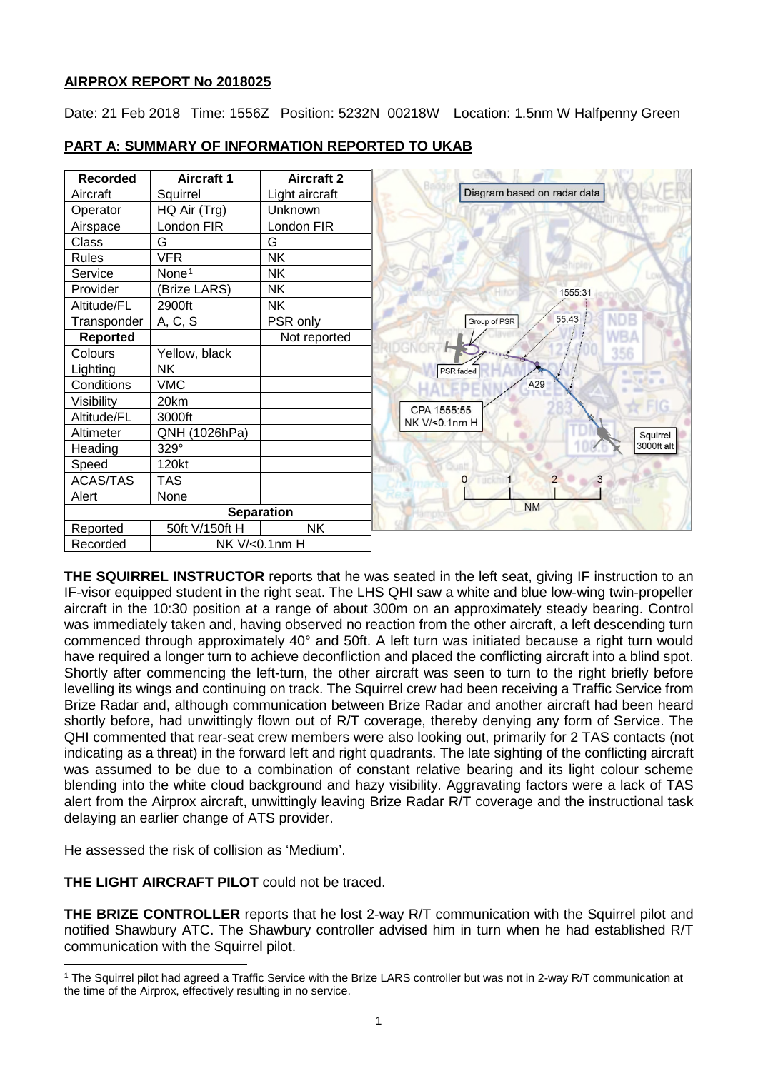# **AIRPROX REPORT No 2018025**

Date: 21 Feb 2018 Time: 1556Z Position: 5232N 00218W Location: 1.5nm W Halfpenny Green



# **PART A: SUMMARY OF INFORMATION REPORTED TO UKAB**

**THE SQUIRREL INSTRUCTOR** reports that he was seated in the left seat, giving IF instruction to an IF-visor equipped student in the right seat. The LHS QHI saw a white and blue low-wing twin-propeller aircraft in the 10:30 position at a range of about 300m on an approximately steady bearing. Control was immediately taken and, having observed no reaction from the other aircraft, a left descending turn commenced through approximately 40° and 50ft. A left turn was initiated because a right turn would have required a longer turn to achieve deconfliction and placed the conflicting aircraft into a blind spot. Shortly after commencing the left-turn, the other aircraft was seen to turn to the right briefly before levelling its wings and continuing on track. The Squirrel crew had been receiving a Traffic Service from Brize Radar and, although communication between Brize Radar and another aircraft had been heard shortly before, had unwittingly flown out of R/T coverage, thereby denying any form of Service. The QHI commented that rear-seat crew members were also looking out, primarily for 2 TAS contacts (not indicating as a threat) in the forward left and right quadrants. The late sighting of the conflicting aircraft was assumed to be due to a combination of constant relative bearing and its light colour scheme blending into the white cloud background and hazy visibility. Aggravating factors were a lack of TAS alert from the Airprox aircraft, unwittingly leaving Brize Radar R/T coverage and the instructional task delaying an earlier change of ATS provider.

He assessed the risk of collision as 'Medium'.

**THE LIGHT AIRCRAFT PILOT** could not be traced.

**THE BRIZE CONTROLLER** reports that he lost 2-way R/T communication with the Squirrel pilot and notified Shawbury ATC. The Shawbury controller advised him in turn when he had established R/T communication with the Squirrel pilot.

<span id="page-0-0"></span>l <sup>1</sup> The Squirrel pilot had agreed a Traffic Service with the Brize LARS controller but was not in 2-way R/T communication at the time of the Airprox, effectively resulting in no service.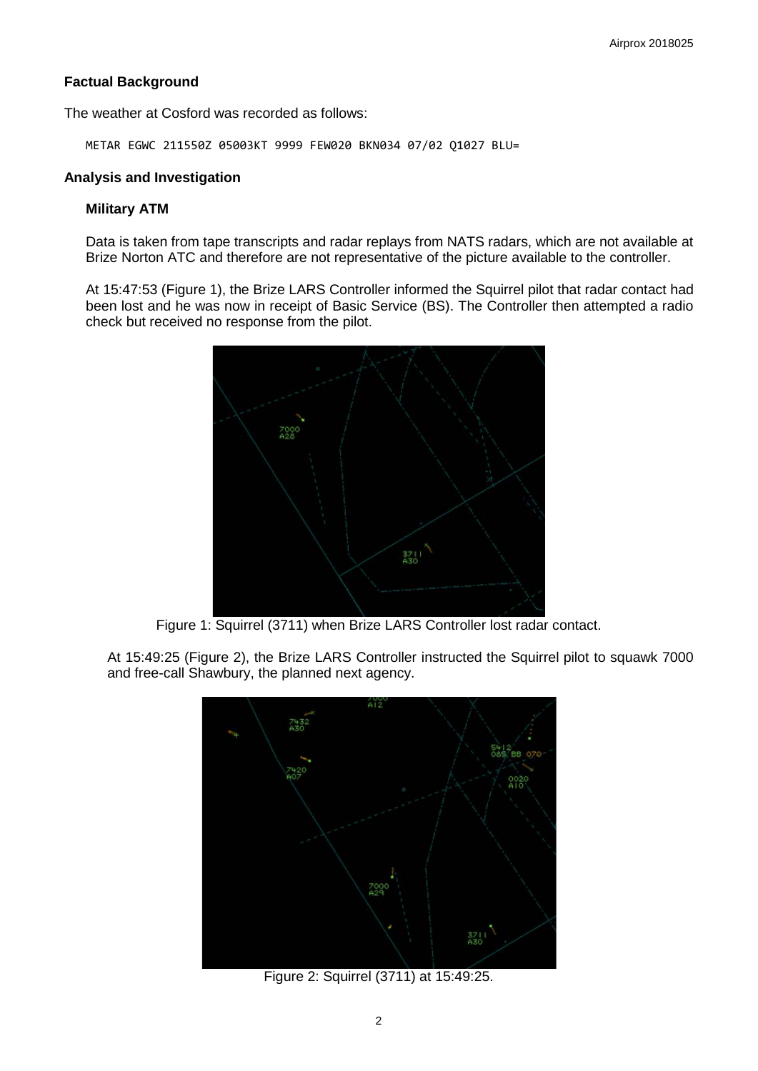# **Factual Background**

The weather at Cosford was recorded as follows:

METAR EGWC 211550Z 05003KT 9999 FEW020 BKN034 07/02 Q1027 BLU=

### **Analysis and Investigation**

### **Military ATM**

Data is taken from tape transcripts and radar replays from NATS radars, which are not available at Brize Norton ATC and therefore are not representative of the picture available to the controller.

At 15:47:53 (Figure 1), the Brize LARS Controller informed the Squirrel pilot that radar contact had been lost and he was now in receipt of Basic Service (BS). The Controller then attempted a radio check but received no response from the pilot.



Figure 1: Squirrel (3711) when Brize LARS Controller lost radar contact.

At 15:49:25 (Figure 2), the Brize LARS Controller instructed the Squirrel pilot to squawk 7000 and free-call Shawbury, the planned next agency.



Figure 2: Squirrel (3711) at 15:49:25.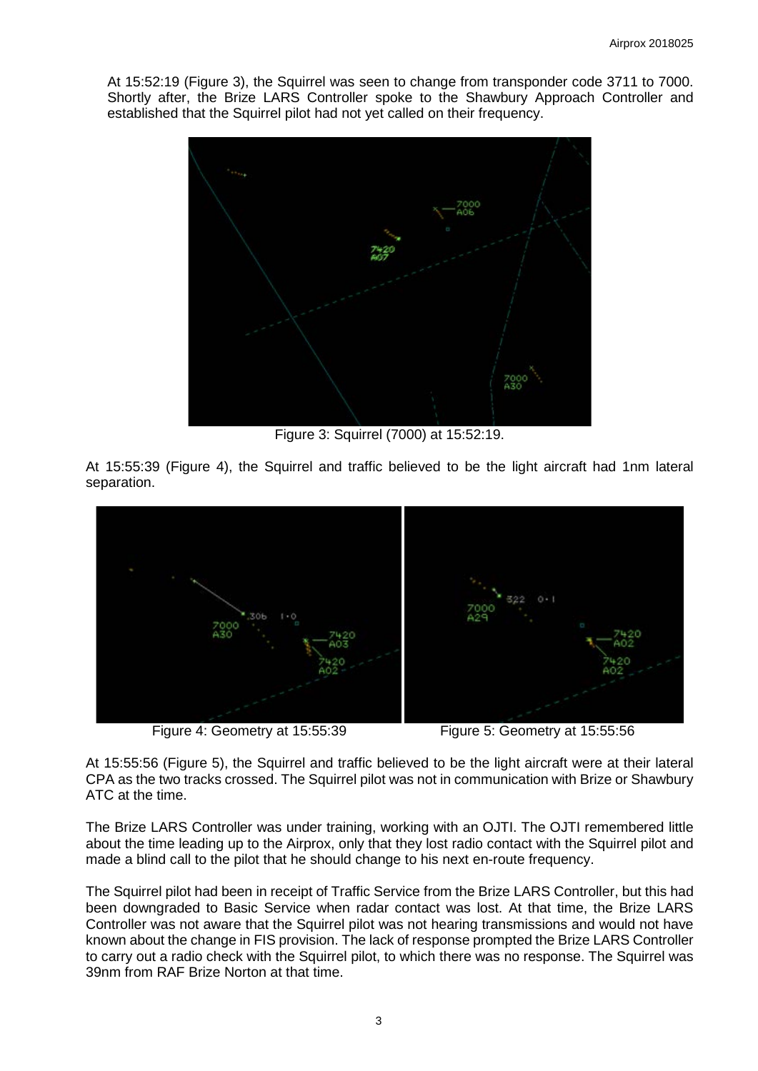At 15:52:19 (Figure 3), the Squirrel was seen to change from transponder code 3711 to 7000. Shortly after, the Brize LARS Controller spoke to the Shawbury Approach Controller and established that the Squirrel pilot had not yet called on their frequency.



Figure 3: Squirrel (7000) at 15:52:19.

At 15:55:39 (Figure 4), the Squirrel and traffic believed to be the light aircraft had 1nm lateral separation.



Figure 4: Geometry at 15:55:39 Figure 5: Geometry at 15:55:56

At 15:55:56 (Figure 5), the Squirrel and traffic believed to be the light aircraft were at their lateral CPA as the two tracks crossed. The Squirrel pilot was not in communication with Brize or Shawbury ATC at the time.

The Brize LARS Controller was under training, working with an OJTI. The OJTI remembered little about the time leading up to the Airprox, only that they lost radio contact with the Squirrel pilot and made a blind call to the pilot that he should change to his next en-route frequency.

The Squirrel pilot had been in receipt of Traffic Service from the Brize LARS Controller, but this had been downgraded to Basic Service when radar contact was lost. At that time, the Brize LARS Controller was not aware that the Squirrel pilot was not hearing transmissions and would not have known about the change in FIS provision. The lack of response prompted the Brize LARS Controller to carry out a radio check with the Squirrel pilot, to which there was no response. The Squirrel was 39nm from RAF Brize Norton at that time.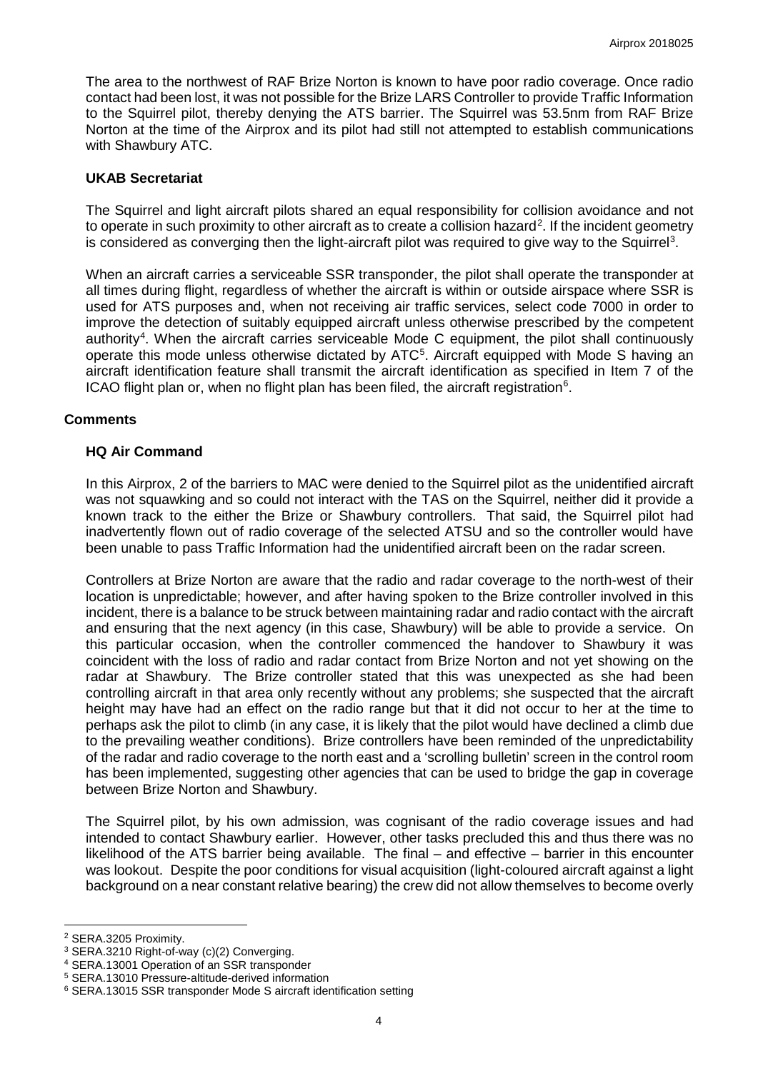The area to the northwest of RAF Brize Norton is known to have poor radio coverage. Once radio contact had been lost, it was not possible for the Brize LARS Controller to provide Traffic Information to the Squirrel pilot, thereby denying the ATS barrier. The Squirrel was 53.5nm from RAF Brize Norton at the time of the Airprox and its pilot had still not attempted to establish communications with Shawbury ATC.

### **UKAB Secretariat**

The Squirrel and light aircraft pilots shared an equal responsibility for collision avoidance and not to operate in such proximity to other aircraft as to create a collision hazard<sup>[2](#page-3-0)</sup>. If the incident geometry is considered as converging then the light-aircraft pilot was required to give way to the Squirrel<sup>[3](#page-3-1)</sup>.

When an aircraft carries a serviceable SSR transponder, the pilot shall operate the transponder at all times during flight, regardless of whether the aircraft is within or outside airspace where SSR is used for ATS purposes and, when not receiving air traffic services, select code 7000 in order to improve the detection of suitably equipped aircraft unless otherwise prescribed by the competent authority<sup>[4](#page-3-2)</sup>. When the aircraft carries serviceable Mode C equipment, the pilot shall continuously operate this mode unless otherwise dictated by ATC<sup>[5](#page-3-3)</sup>. Aircraft equipped with Mode S having an aircraft identification feature shall transmit the aircraft identification as specified in Item 7 of the ICAO flight plan or, when no flight plan has been filed, the aircraft registration<sup>[6](#page-3-4)</sup>.

### **Comments**

### **HQ Air Command**

In this Airprox, 2 of the barriers to MAC were denied to the Squirrel pilot as the unidentified aircraft was not squawking and so could not interact with the TAS on the Squirrel, neither did it provide a known track to the either the Brize or Shawbury controllers. That said, the Squirrel pilot had inadvertently flown out of radio coverage of the selected ATSU and so the controller would have been unable to pass Traffic Information had the unidentified aircraft been on the radar screen.

Controllers at Brize Norton are aware that the radio and radar coverage to the north-west of their location is unpredictable; however, and after having spoken to the Brize controller involved in this incident, there is a balance to be struck between maintaining radar and radio contact with the aircraft and ensuring that the next agency (in this case, Shawbury) will be able to provide a service. On this particular occasion, when the controller commenced the handover to Shawbury it was coincident with the loss of radio and radar contact from Brize Norton and not yet showing on the radar at Shawbury. The Brize controller stated that this was unexpected as she had been controlling aircraft in that area only recently without any problems; she suspected that the aircraft height may have had an effect on the radio range but that it did not occur to her at the time to perhaps ask the pilot to climb (in any case, it is likely that the pilot would have declined a climb due to the prevailing weather conditions). Brize controllers have been reminded of the unpredictability of the radar and radio coverage to the north east and a 'scrolling bulletin' screen in the control room has been implemented, suggesting other agencies that can be used to bridge the gap in coverage between Brize Norton and Shawbury.

The Squirrel pilot, by his own admission, was cognisant of the radio coverage issues and had intended to contact Shawbury earlier. However, other tasks precluded this and thus there was no likelihood of the ATS barrier being available. The final – and effective – barrier in this encounter was lookout. Despite the poor conditions for visual acquisition (light-coloured aircraft against a light background on a near constant relative bearing) the crew did not allow themselves to become overly

 $\overline{\phantom{a}}$ 

<span id="page-3-0"></span><sup>2</sup> SERA.3205 Proximity.

<span id="page-3-1"></span><sup>3</sup> SERA.3210 Right-of-way (c)(2) Converging.

<span id="page-3-2"></span><sup>4</sup> SERA.13001 Operation of an SSR transponder

<span id="page-3-3"></span><sup>5</sup> SERA.13010 Pressure-altitude-derived information

<span id="page-3-4"></span><sup>6</sup> SERA.13015 SSR transponder Mode S aircraft identification setting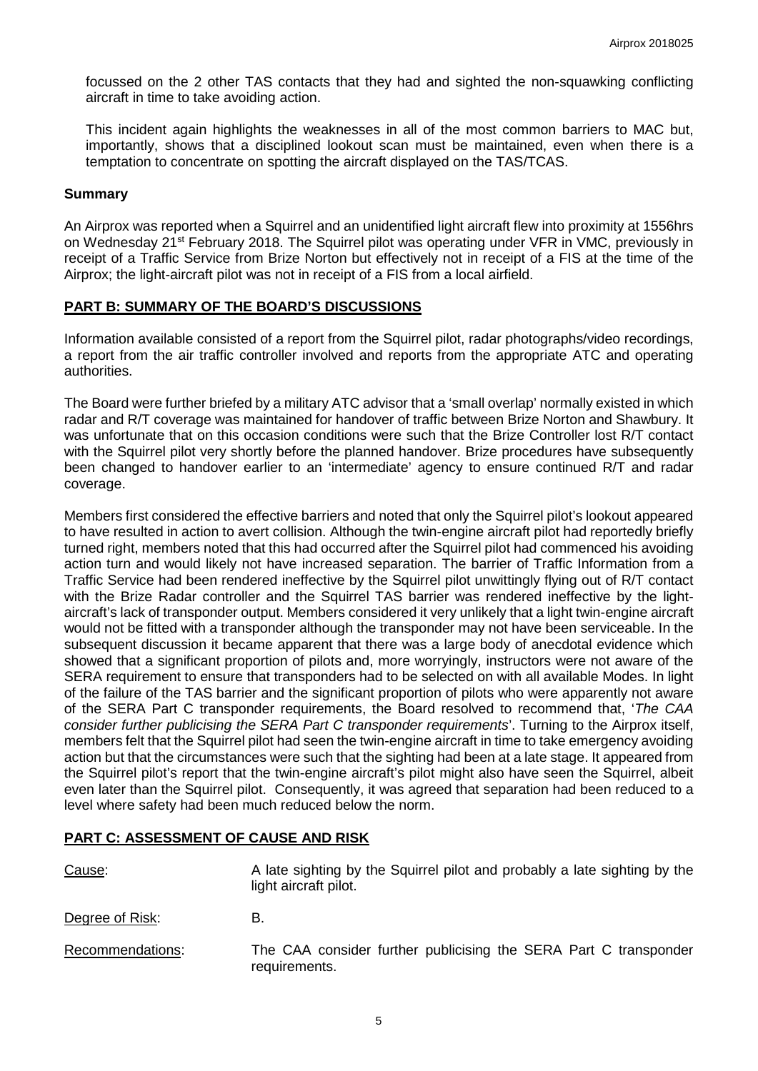focussed on the 2 other TAS contacts that they had and sighted the non-squawking conflicting aircraft in time to take avoiding action.

This incident again highlights the weaknesses in all of the most common barriers to MAC but, importantly, shows that a disciplined lookout scan must be maintained, even when there is a temptation to concentrate on spotting the aircraft displayed on the TAS/TCAS.

#### **Summary**

An Airprox was reported when a Squirrel and an unidentified light aircraft flew into proximity at 1556hrs on Wednesday 21<sup>st</sup> February 2018. The Squirrel pilot was operating under VFR in VMC, previously in receipt of a Traffic Service from Brize Norton but effectively not in receipt of a FIS at the time of the Airprox; the light-aircraft pilot was not in receipt of a FIS from a local airfield.

# **PART B: SUMMARY OF THE BOARD'S DISCUSSIONS**

Information available consisted of a report from the Squirrel pilot, radar photographs/video recordings, a report from the air traffic controller involved and reports from the appropriate ATC and operating authorities.

The Board were further briefed by a military ATC advisor that a 'small overlap' normally existed in which radar and R/T coverage was maintained for handover of traffic between Brize Norton and Shawbury. It was unfortunate that on this occasion conditions were such that the Brize Controller lost R/T contact with the Squirrel pilot very shortly before the planned handover. Brize procedures have subsequently been changed to handover earlier to an 'intermediate' agency to ensure continued R/T and radar coverage.

Members first considered the effective barriers and noted that only the Squirrel pilot's lookout appeared to have resulted in action to avert collision. Although the twin-engine aircraft pilot had reportedly briefly turned right, members noted that this had occurred after the Squirrel pilot had commenced his avoiding action turn and would likely not have increased separation. The barrier of Traffic Information from a Traffic Service had been rendered ineffective by the Squirrel pilot unwittingly flying out of R/T contact with the Brize Radar controller and the Squirrel TAS barrier was rendered ineffective by the lightaircraft's lack of transponder output. Members considered it very unlikely that a light twin-engine aircraft would not be fitted with a transponder although the transponder may not have been serviceable. In the subsequent discussion it became apparent that there was a large body of anecdotal evidence which showed that a significant proportion of pilots and, more worryingly, instructors were not aware of the SERA requirement to ensure that transponders had to be selected on with all available Modes. In light of the failure of the TAS barrier and the significant proportion of pilots who were apparently not aware of the SERA Part C transponder requirements, the Board resolved to recommend that, '*The CAA consider further publicising the SERA Part C transponder requirements*'. Turning to the Airprox itself, members felt that the Squirrel pilot had seen the twin-engine aircraft in time to take emergency avoiding action but that the circumstances were such that the sighting had been at a late stage. It appeared from the Squirrel pilot's report that the twin-engine aircraft's pilot might also have seen the Squirrel, albeit even later than the Squirrel pilot. Consequently, it was agreed that separation had been reduced to a level where safety had been much reduced below the norm.

# **PART C: ASSESSMENT OF CAUSE AND RISK**

| Cause:           | A late sighting by the Squirrel pilot and probably a late sighting by the<br>light aircraft pilot. |
|------------------|----------------------------------------------------------------------------------------------------|
| Degree of Risk:  | В.                                                                                                 |
| Recommendations: | The CAA consider further publicising the SERA Part C transponder<br>requirements.                  |